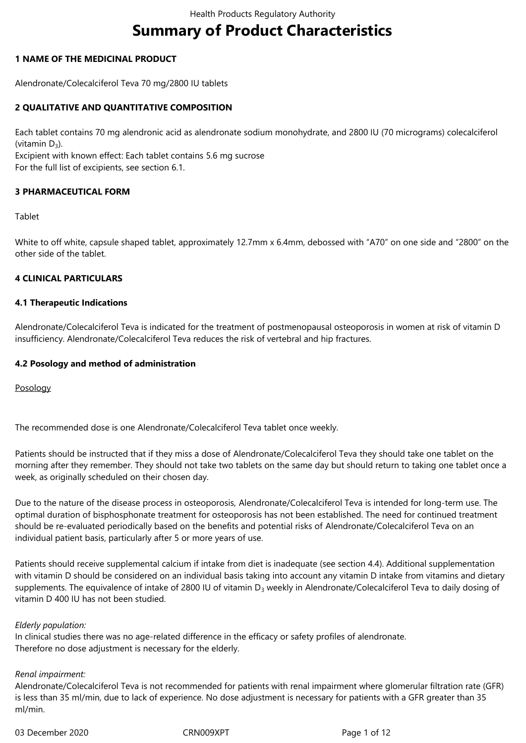# **Summary of Product Characteristics**

## **1 NAME OF THE MEDICINAL PRODUCT**

Alendronate/Colecalciferol Teva 70 mg/2800 IU tablets

## **2 QUALITATIVE AND QUANTITATIVE COMPOSITION**

Each tablet contains 70 mg alendronic acid as alendronate sodium monohydrate, and 2800 IU (70 micrograms) colecalciferol (vitamin  $D_3$ ).

Excipient with known effect: Each tablet contains 5.6 mg sucrose For the full list of excipients, see section 6.1.

## **3 PHARMACEUTICAL FORM**

#### Tablet

White to off white, capsule shaped tablet, approximately 12.7mm x 6.4mm, debossed with "A70" on one side and "2800" on the other side of the tablet.

## **4 CLINICAL PARTICULARS**

#### **4.1 Therapeutic Indications**

Alendronate/Colecalciferol Teva is indicated for the treatment of postmenopausal osteoporosis in women at risk of vitamin D insufficiency. Alendronate/Colecalciferol Teva reduces the risk of vertebral and hip fractures.

## **4.2 Posology and method of administration**

Posology

The recommended dose is one Alendronate/Colecalciferol Teva tablet once weekly.

Patients should be instructed that if they miss a dose of Alendronate/Colecalciferol Teva they should take one tablet on the morning after they remember. They should not take two tablets on the same day but should return to taking one tablet once a week, as originally scheduled on their chosen day.

Due to the nature of the disease process in osteoporosis, Alendronate/Colecalciferol Teva is intended for long-term use. The optimal duration of bisphosphonate treatment for osteoporosis has not been established. The need for continued treatment should be re-evaluated periodically based on the benefits and potential risks of Alendronate/Colecalciferol Teva on an individual patient basis, particularly after 5 or more years of use.

Patients should receive supplemental calcium if intake from diet is inadequate (see section 4.4). Additional supplementation with vitamin D should be considered on an individual basis taking into account any vitamin D intake from vitamins and dietary supplements. The equivalence of intake of 2800 IU of vitamin  $D_3$  weekly in Alendronate/Colecalciferol Teva to daily dosing of vitamin D 400 IU has not been studied.

#### *Elderly population:*

In clinical studies there was no age-related difference in the efficacy or safety profiles of alendronate. Therefore no dose adjustment is necessary for the elderly.

#### *Renal impairment:*

Alendronate/Colecalciferol Teva is not recommended for patients with renal impairment where glomerular filtration rate (GFR) is less than 35 ml/min, due to lack of experience. No dose adjustment is necessary for patients with a GFR greater than 35 ml/min.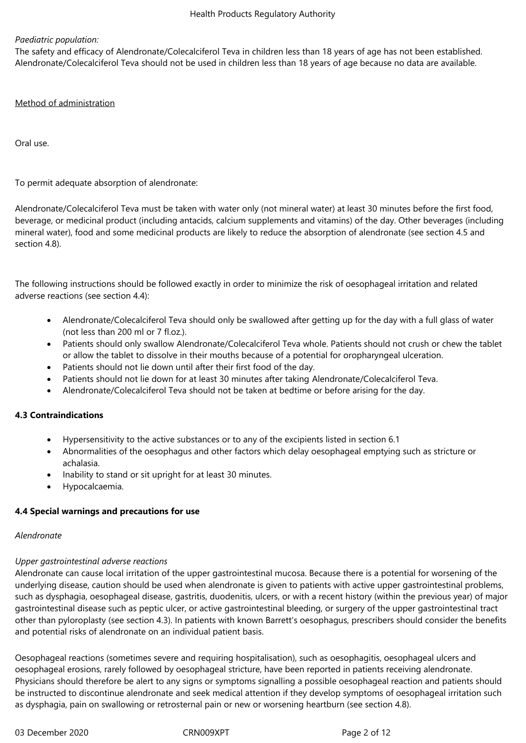## *Paediatric population:*

The safety and efficacy of Alendronate/Colecalciferol Teva in children less than 18 years of age has not been established. Alendronate/Colecalciferol Teva should not be used in children less than 18 years of age because no data are available.

#### Method of administration

Oral use.

To permit adequate absorption of alendronate:

Alendronate/Colecalciferol Teva must be taken with water only (not mineral water) at least 30 minutes before the first food, beverage, or medicinal product (including antacids, calcium supplements and vitamins) of the day. Other beverages (including mineral water), food and some medicinal products are likely to reduce the absorption of alendronate (see section 4.5 and section 4.8).

The following instructions should be followed exactly in order to minimize the risk of oesophageal irritation and related adverse reactions (see section 4.4):

- Alendronate/Colecalciferol Teva should only be swallowed after getting up for the day with a full glass of water (not less than 200 ml or 7 fl.oz.).
- Patients should only swallow Alendronate/Colecalciferol Teva whole. Patients should not crush or chew the tablet or allow the tablet to dissolve in their mouths because of a potential for oropharyngeal ulceration.
- Patients should not lie down until after their first food of the day.
- Patients should not lie down for at least 30 minutes after taking Alendronate/Colecalciferol Teva.
- Alendronate/Colecalciferol Teva should not be taken at bedtime or before arising for the day.

#### **4.3 Contraindications**

- Hypersensitivity to the active substances or to any of the excipients listed in section 6.1
- Abnormalities of the oesophagus and other factors which delay oesophageal emptying such as stricture or achalasia.
- Inability to stand or sit upright for at least 30 minutes.
- Hypocalcaemia.

## **4.4 Special warnings and precautions for use**

#### *Alendronate*

#### *Upper gastrointestinal adverse reactions*

Alendronate can cause local irritation of the upper gastrointestinal mucosa. Because there is a potential for worsening of the underlying disease, caution should be used when alendronate is given to patients with active upper gastrointestinal problems, such as dysphagia, oesophageal disease, gastritis, duodenitis, ulcers, or with a recent history (within the previous year) of major gastrointestinal disease such as peptic ulcer, or active gastrointestinal bleeding, or surgery of the upper gastrointestinal tract other than pyloroplasty (see section 4.3). In patients with known Barrett's oesophagus, prescribers should consider the benefits and potential risks of alendronate on an individual patient basis.

Oesophageal reactions (sometimes severe and requiring hospitalisation), such as oesophagitis, oesophageal ulcers and oesophageal erosions, rarely followed by oesophageal stricture, have been reported in patients receiving alendronate. Physicians should therefore be alert to any signs or symptoms signalling a possible oesophageal reaction and patients should be instructed to discontinue alendronate and seek medical attention if they develop symptoms of oesophageal irritation such as dysphagia, pain on swallowing or retrosternal pain or new or worsening heartburn (see section 4.8).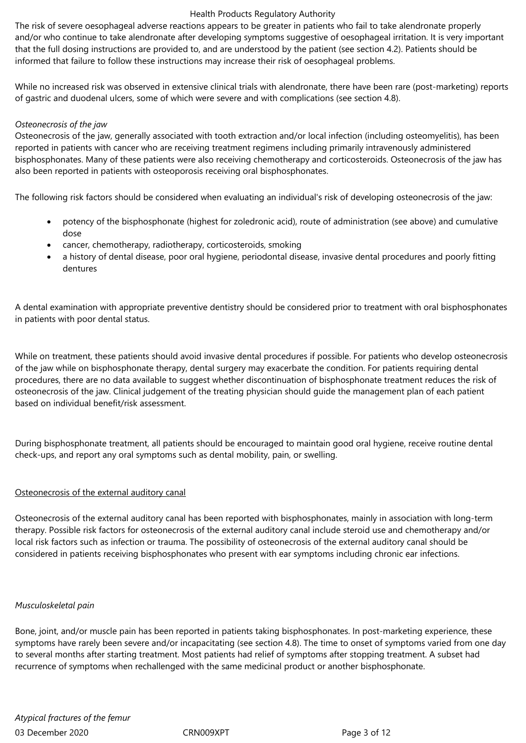The risk of severe oesophageal adverse reactions appears to be greater in patients who fail to take alendronate properly and/or who continue to take alendronate after developing symptoms suggestive of oesophageal irritation. It is very important that the full dosing instructions are provided to, and are understood by the patient (see section 4.2). Patients should be informed that failure to follow these instructions may increase their risk of oesophageal problems.

While no increased risk was observed in extensive clinical trials with alendronate, there have been rare (post-marketing) reports of gastric and duodenal ulcers, some of which were severe and with complications (see section 4.8).

#### *Osteonecrosis of the jaw*

Osteonecrosis of the jaw, generally associated with tooth extraction and/or local infection (including osteomyelitis), has been reported in patients with cancer who are receiving treatment regimens including primarily intravenously administered bisphosphonates. Many of these patients were also receiving chemotherapy and corticosteroids. Osteonecrosis of the jaw has also been reported in patients with osteoporosis receiving oral bisphosphonates.

The following risk factors should be considered when evaluating an individual's risk of developing osteonecrosis of the jaw:

- potency of the bisphosphonate (highest for zoledronic acid), route of administration (see above) and cumulative dose
- cancer, chemotherapy, radiotherapy, corticosteroids, smoking
- a history of dental disease, poor oral hygiene, periodontal disease, invasive dental procedures and poorly fitting dentures

A dental examination with appropriate preventive dentistry should be considered prior to treatment with oral bisphosphonates in patients with poor dental status.

While on treatment, these patients should avoid invasive dental procedures if possible. For patients who develop osteonecrosis of the jaw while on bisphosphonate therapy, dental surgery may exacerbate the condition. For patients requiring dental procedures, there are no data available to suggest whether discontinuation of bisphosphonate treatment reduces the risk of osteonecrosis of the jaw. Clinical judgement of the treating physician should guide the management plan of each patient based on individual benefit/risk assessment.

During bisphosphonate treatment, all patients should be encouraged to maintain good oral hygiene, receive routine dental check-ups, and report any oral symptoms such as dental mobility, pain, or swelling.

## Osteonecrosis of the external auditory canal

Osteonecrosis of the external auditory canal has been reported with bisphosphonates, mainly in association with long-term therapy. Possible risk factors for osteonecrosis of the external auditory canal include steroid use and chemotherapy and/or local risk factors such as infection or trauma. The possibility of osteonecrosis of the external auditory canal should be considered in patients receiving bisphosphonates who present with ear symptoms including chronic ear infections.

#### *Musculoskeletal pain*

Bone, joint, and/or muscle pain has been reported in patients taking bisphosphonates. In post-marketing experience, these symptoms have rarely been severe and/or incapacitating (see section 4.8). The time to onset of symptoms varied from one day to several months after starting treatment. Most patients had relief of symptoms after stopping treatment. A subset had recurrence of symptoms when rechallenged with the same medicinal product or another bisphosphonate.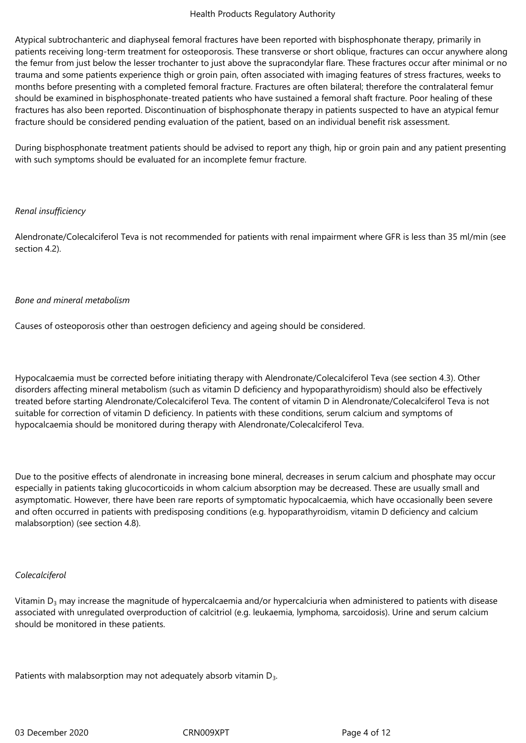Atypical subtrochanteric and diaphyseal femoral fractures have been reported with bisphosphonate therapy, primarily in patients receiving long-term treatment for osteoporosis. These transverse or short oblique, fractures can occur anywhere along the femur from just below the lesser trochanter to just above the supracondylar flare. These fractures occur after minimal or no trauma and some patients experience thigh or groin pain, often associated with imaging features of stress fractures, weeks to months before presenting with a completed femoral fracture. Fractures are often bilateral; therefore the contralateral femur should be examined in bisphosphonate-treated patients who have sustained a femoral shaft fracture. Poor healing of these fractures has also been reported. Discontinuation of bisphosphonate therapy in patients suspected to have an atypical femur fracture should be considered pending evaluation of the patient, based on an individual benefit risk assessment.

During bisphosphonate treatment patients should be advised to report any thigh, hip or groin pain and any patient presenting with such symptoms should be evaluated for an incomplete femur fracture.

## *Renal insufficiency*

Alendronate/Colecalciferol Teva is not recommended for patients with renal impairment where GFR is less than 35 ml/min (see section 4.2).

## *Bone and mineral metabolism*

Causes of osteoporosis other than oestrogen deficiency and ageing should be considered.

Hypocalcaemia must be corrected before initiating therapy with Alendronate/Colecalciferol Teva (see section 4.3). Other disorders affecting mineral metabolism (such as vitamin D deficiency and hypoparathyroidism) should also be effectively treated before starting Alendronate/Colecalciferol Teva. The content of vitamin D in Alendronate/Colecalciferol Teva is not suitable for correction of vitamin D deficiency. In patients with these conditions, serum calcium and symptoms of hypocalcaemia should be monitored during therapy with Alendronate/Colecalciferol Teva.

Due to the positive effects of alendronate in increasing bone mineral, decreases in serum calcium and phosphate may occur especially in patients taking glucocorticoids in whom calcium absorption may be decreased. These are usually small and asymptomatic. However, there have been rare reports of symptomatic hypocalcaemia, which have occasionally been severe and often occurred in patients with predisposing conditions (e.g. hypoparathyroidism, vitamin D deficiency and calcium malabsorption) (see section 4.8).

## *Colecalciferol*

Vitamin  $D_3$  may increase the magnitude of hypercalcaemia and/or hypercalciuria when administered to patients with disease associated with unregulated overproduction of calcitriol (e.g. leukaemia, lymphoma, sarcoidosis). Urine and serum calcium should be monitored in these patients.

Patients with malabsorption may not adequately absorb vitamin D<sub>3</sub>.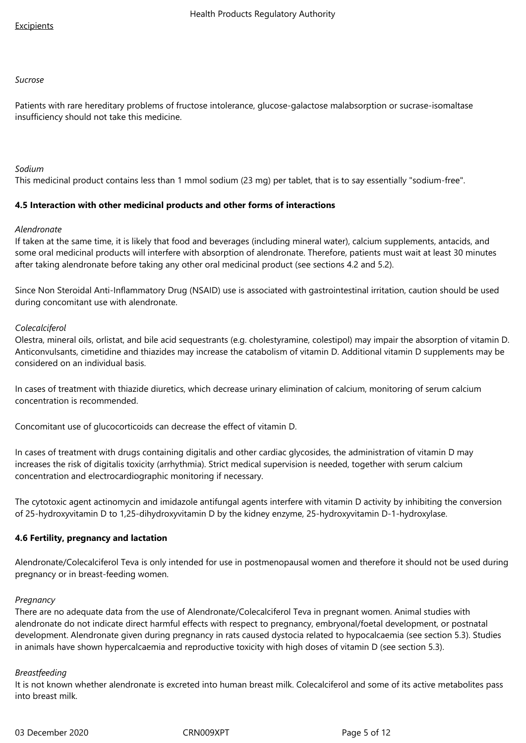#### *Sucrose*

Patients with rare hereditary problems of fructose intolerance, glucose-galactose malabsorption or sucrase-isomaltase insufficiency should not take this medicine.

## *Sodium*

This medicinal product contains less than 1 mmol sodium (23 mg) per tablet, that is to say essentially "sodium-free".

#### **4.5 Interaction with other medicinal products and other forms of interactions**

#### *Alendronate*

If taken at the same time, it is likely that food and beverages (including mineral water), calcium supplements, antacids, and some oral medicinal products will interfere with absorption of alendronate. Therefore, patients must wait at least 30 minutes after taking alendronate before taking any other oral medicinal product (see sections 4.2 and 5.2).

Since Non Steroidal Anti-Inflammatory Drug (NSAID) use is associated with gastrointestinal irritation, caution should be used during concomitant use with alendronate.

#### *Colecalciferol*

Olestra, mineral oils, orlistat, and bile acid sequestrants (e.g. cholestyramine, colestipol) may impair the absorption of vitamin D. Anticonvulsants, cimetidine and thiazides may increase the catabolism of vitamin D. Additional vitamin D supplements may be considered on an individual basis.

In cases of treatment with thiazide diuretics, which decrease urinary elimination of calcium, monitoring of serum calcium concentration is recommended.

Concomitant use of glucocorticoids can decrease the effect of vitamin D.

In cases of treatment with drugs containing digitalis and other cardiac glycosides, the administration of vitamin D may increases the risk of digitalis toxicity (arrhythmia). Strict medical supervision is needed, together with serum calcium concentration and electrocardiographic monitoring if necessary.

The cytotoxic agent actinomycin and imidazole antifungal agents interfere with vitamin D activity by inhibiting the conversion of 25-hydroxyvitamin D to 1,25-dihydroxyvitamin D by the kidney enzyme, 25-hydroxyvitamin D-1-hydroxylase.

#### **4.6 Fertility, pregnancy and lactation**

Alendronate/Colecalciferol Teva is only intended for use in postmenopausal women and therefore it should not be used during pregnancy or in breast-feeding women.

#### *Pregnancy*

There are no adequate data from the use of Alendronate/Colecalciferol Teva in pregnant women. Animal studies with alendronate do not indicate direct harmful effects with respect to pregnancy, embryonal/foetal development, or postnatal development. Alendronate given during pregnancy in rats caused dystocia related to hypocalcaemia (see section 5.3). Studies in animals have shown hypercalcaemia and reproductive toxicity with high doses of vitamin D (see section 5.3).

#### *Breastfeeding*

It is not known whether alendronate is excreted into human breast milk. Colecalciferol and some of its active metabolites pass into breast milk.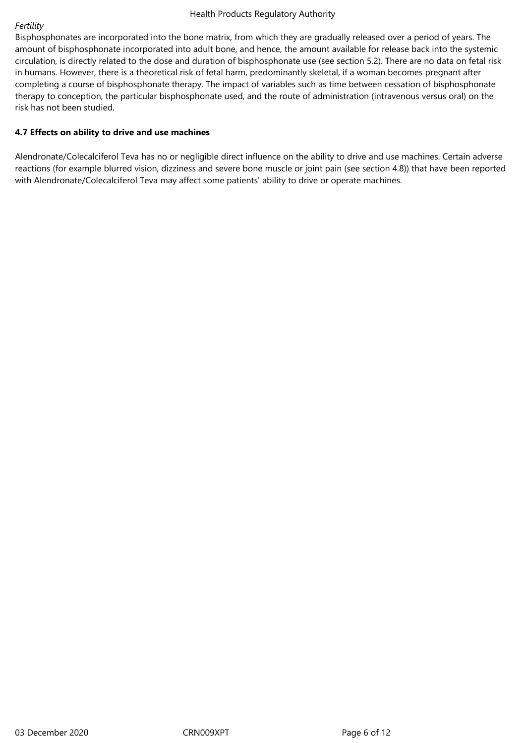## *Fertility*

Bisphosphonates are incorporated into the bone matrix, from which they are gradually released over a period of years. The amount of bisphosphonate incorporated into adult bone, and hence, the amount available for release back into the systemic circulation, is directly related to the dose and duration of bisphosphonate use (see section 5.2). There are no data on fetal risk in humans. However, there is a theoretical risk of fetal harm, predominantly skeletal, if a woman becomes pregnant after completing a course of bisphosphonate therapy. The impact of variables such as time between cessation of bisphosphonate therapy to conception, the particular bisphosphonate used, and the route of administration (intravenous versus oral) on the risk has not been studied.

## **4.7 Effects on ability to drive and use machines**

Alendronate/Colecalciferol Teva has no or negligible direct influence on the ability to drive and use machines. Certain adverse reactions (for example blurred vision, dizziness and severe bone muscle or joint pain (see section 4.8)) that have been reported with Alendronate/Colecalciferol Teva may affect some patients' ability to drive or operate machines.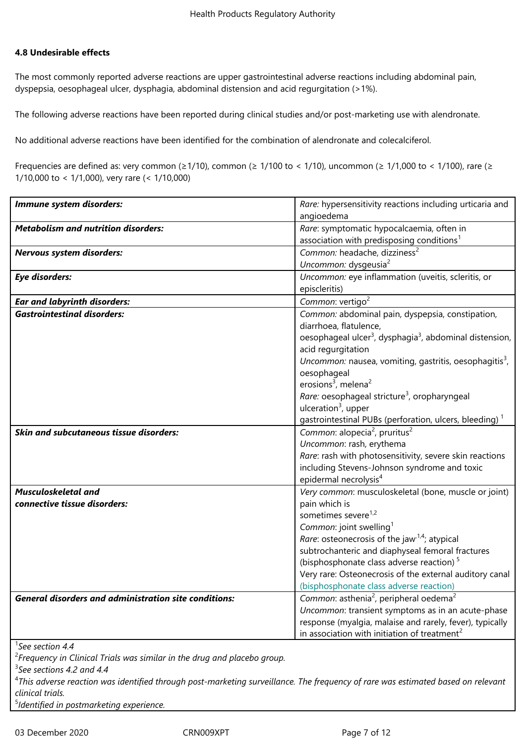## **4.8 Undesirable effects**

The most commonly reported adverse reactions are upper gastrointestinal adverse reactions including abdominal pain, dyspepsia, oesophageal ulcer, dysphagia, abdominal distension and acid regurgitation (>1%).

The following adverse reactions have been reported during clinical studies and/or post-marketing use with alendronate.

No additional adverse reactions have been identified for the combination of alendronate and colecalciferol.

Frequencies are defined as: very common ( $\geq 1/10$ ), common ( $\geq 1/100$  to < 1/10), uncommon ( $\geq 1/1,000$  to < 1/100), rare ( $\geq$ 1/10,000 to < 1/1,000), very rare (< 1/10,000)

| Immune system disorders:                                     | Rare: hypersensitivity reactions including urticaria and                        |
|--------------------------------------------------------------|---------------------------------------------------------------------------------|
|                                                              | angioedema                                                                      |
| <b>Metabolism and nutrition disorders:</b>                   | Rare: symptomatic hypocalcaemia, often in                                       |
|                                                              | association with predisposing conditions <sup>1</sup>                           |
| Nervous system disorders:                                    | Common: headache, dizziness <sup>2</sup>                                        |
|                                                              | Uncommon: dysgeusia <sup>2</sup>                                                |
| <b>Eye disorders:</b>                                        | Uncommon: eye inflammation (uveitis, scleritis, or                              |
|                                                              | episcleritis)                                                                   |
| <b>Ear and labyrinth disorders:</b>                          | Common: vertigo <sup>2</sup>                                                    |
| <b>Gastrointestinal disorders:</b>                           | Common: abdominal pain, dyspepsia, constipation,                                |
|                                                              | diarrhoea, flatulence,                                                          |
|                                                              | oesophageal ulcer <sup>3</sup> , dysphagia <sup>3</sup> , abdominal distension, |
|                                                              | acid regurgitation                                                              |
|                                                              | Uncommon: nausea, vomiting, gastritis, oesophagitis <sup>3</sup> ,              |
|                                                              | oesophageal                                                                     |
|                                                              | erosions <sup>3</sup> , melena <sup>2</sup>                                     |
|                                                              | Rare: oesophageal stricture <sup>3</sup> , oropharyngeal                        |
|                                                              | ulceration $3$ , upper                                                          |
|                                                              | gastrointestinal PUBs (perforation, ulcers, bleeding) <sup>1</sup>              |
| Skin and subcutaneous tissue disorders:                      | Common: alopecia <sup>2</sup> , pruritus <sup>2</sup>                           |
|                                                              | Uncommon: rash, erythema                                                        |
|                                                              | Rare: rash with photosensitivity, severe skin reactions                         |
|                                                              | including Stevens-Johnson syndrome and toxic                                    |
|                                                              | epidermal necrolysis <sup>4</sup>                                               |
| <b>Musculoskeletal and</b>                                   | Very common: musculoskeletal (bone, muscle or joint)                            |
| connective tissue disorders:                                 | pain which is                                                                   |
|                                                              | sometimes severe <sup>1,2</sup>                                                 |
|                                                              | Common: joint swelling <sup>1</sup>                                             |
|                                                              | Rare: osteonecrosis of the jaw <sup>1,4</sup> ; atypical                        |
|                                                              | subtrochanteric and diaphyseal femoral fractures                                |
|                                                              | (bisphosphonate class adverse reaction) <sup>5</sup>                            |
|                                                              | Very rare: Osteonecrosis of the external auditory canal                         |
|                                                              | (bisphosphonate class adverse reaction)                                         |
| <b>General disorders and administration site conditions:</b> | Common: asthenia <sup>2</sup> , peripheral oedema <sup>2</sup>                  |
|                                                              | Uncommon: transient symptoms as in an acute-phase                               |
|                                                              | response (myalgia, malaise and rarely, fever), typically                        |
|                                                              | in association with initiation of treatment <sup>2</sup>                        |
| $^1$ See section 4.4                                         |                                                                                 |
|                                                              |                                                                                 |

2 *Frequency in Clinical Trials was similar in the drug and placebo group.*

3 *See sections 4.2 and 4.4*

4 *This adverse reaction was identified through post-marketing surveillance. The frequency of rare was estimated based on relevant clinical trials.*

5 *Identified in postmarketing experience.*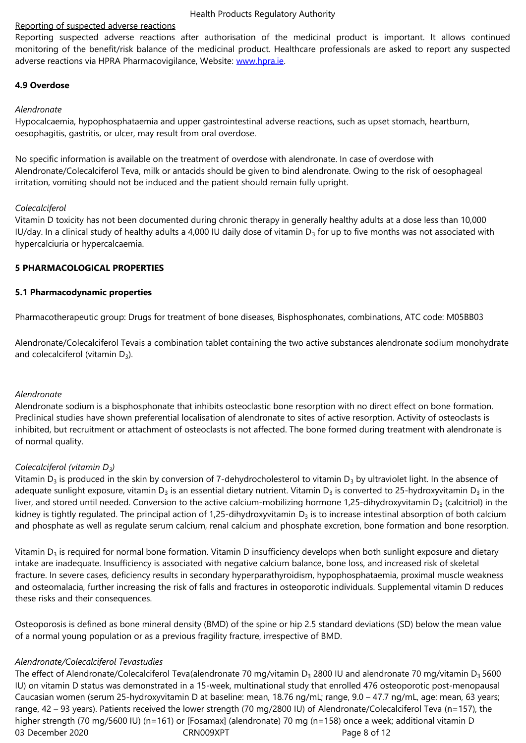monitoring of the benefit/risk balance of the medicinal product. Healthcare professionals are asked to report any suspected adverse reactions via HPRA Pharmacovigilance, Website: www.hpra.ie.

## **4.9 Overdose**

### *Alendronate*

Hypocalcaemia, hypophosphataemia and upper gastrointestinal adverse reactions, such as upset stomach, heartburn, oesophagitis, gastritis, or ulcer, may result from oral overdose.

No specific information is available on the treatment of overdose with alendronate. In case of overdose with Alendronate/Colecalciferol Teva, milk or antacids should be given to bind alendronate. Owing to the risk of oesophageal irritation, vomiting should not be induced and the patient should remain fully upright.

#### *Colecalciferol*

Vitamin D toxicity has not been documented during chronic therapy in generally healthy adults at a dose less than 10,000 IU/day. In a clinical study of healthy adults a 4,000 IU daily dose of vitamin  $D_3$  for up to five months was not associated with hypercalciuria or hypercalcaemia.

## **5 PHARMACOLOGICAL PROPERTIES**

## **5.1 Pharmacodynamic properties**

Pharmacotherapeutic group: Drugs for treatment of bone diseases, Bisphosphonates, combinations, ATC code: M05BB03

Alendronate/Colecalciferol Tevais a combination tablet containing the two active substances alendronate sodium monohydrate and colecalciferol (vitamin  $D_3$ ).

## *Alendronate*

Alendronate sodium is a bisphosphonate that inhibits osteoclastic bone resorption with no direct effect on bone formation. Preclinical studies have shown preferential localisation of alendronate to sites of active resorption. Activity of osteoclasts is inhibited, but recruitment or attachment of osteoclasts is not affected. The bone formed during treatment with alendronate is of normal quality.

## *Colecalciferol (vitamin D3)*

Vitamin  $D_3$  is produced in the skin by conversion of 7-dehydrocholesterol to vitamin  $D_3$  by ultraviolet light. In the absence of adequate sunlight exposure, vitamin  $D_3$  is an essential dietary nutrient. Vitamin  $D_3$  is converted to 25-hydroxyvitamin  $D_3$  in the liver, and stored until needed. Conversion to the active calcium-mobilizing hormone 1,25-dihydroxyvitamin  $D_3$  (calcitriol) in the kidney is tightly regulated. The principal action of 1,25-dihydroxyvitamin  $D_3$  is to increase intestinal absorption of both calcium and phosphate as well as regulate serum calcium, renal calcium and phosphate excretion, bone formation and bone resorption.

Vitamin  $D_3$  is required for normal bone formation. Vitamin D insufficiency develops when both sunlight exposure and dietary intake are inadequate. Insufficiency is associated with negative calcium balance, bone loss, and increased risk of skeletal fracture. In severe cases, deficiency results in secondary hyperparathyroidism, hypophosphataemia, proximal muscle weakness and osteomalacia, further increasing the risk of falls and fractures in osteoporotic individuals. Supplemental vitamin D reduces these risks and their consequences.

Osteoporosis is defined as bone mineral density (BMD) of the spine or hip 2.5 standard deviations (SD) below the mean value of a normal young population or as a previous fragility fracture, irrespective of BMD.

#### *Alendronate/Colecalciferol Tevastudies*

03 December 2020 CRN009XPT CRN009XPT Page 8 of 12 The effect of Alendronate/Colecalciferol Teva(alendronate 70 mg/vitamin D<sub>3</sub> 2800 IU and alendronate 70 mg/vitamin D<sub>3</sub> 5600 IU) on vitamin D status was demonstrated in a 15-week, multinational study that enrolled 476 osteoporotic post-menopausal Caucasian women (serum 25-hydroxyvitamin D at baseline: mean, 18.76 ng/mL; range, 9.0 – 47.7 ng/mL, age: mean, 63 years; range, 42 – 93 years). Patients received the lower strength (70 mg/2800 IU) of Alendronate/Colecalciferol Teva (n=157), the higher strength (70 mg/5600 IU) (n=161) or [Fosamax] (alendronate) 70 mg (n=158) once a week; additional vitamin D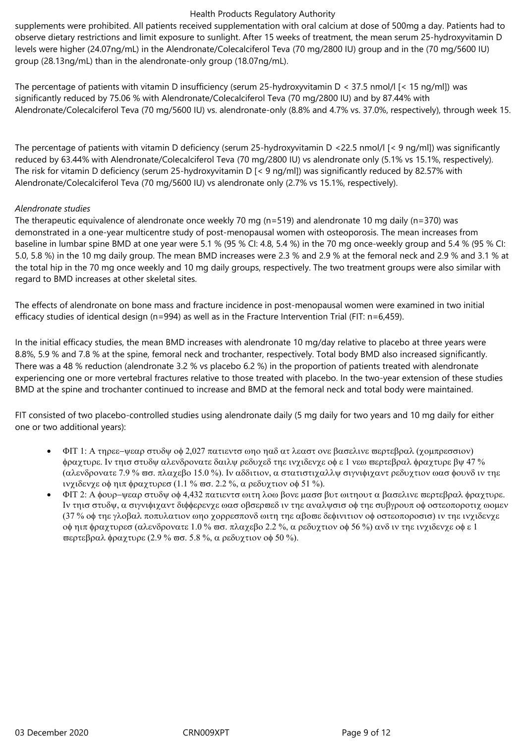supplements were prohibited. All patients received supplementation with oral calcium at dose of 500mg a day. Patients had to observe dietary restrictions and limit exposure to sunlight. After 15 weeks of treatment, the mean serum 25-hydroxyvitamin D levels were higher (24.07ng/mL) in the Alendronate/Colecalciferol Teva (70 mg/2800 IU) group and in the (70 mg/5600 IU) group (28.13ng/mL) than in the alendronate-only group (18.07ng/mL).

The percentage of patients with vitamin D insufficiency (serum 25-hydroxyvitamin D < 37.5 nmol/l [< 15 ng/ml]) was significantly reduced by 75.06 % with Alendronate/Colecalciferol Teva (70 mg/2800 IU) and by 87.44% with Alendronate/Colecalciferol Teva (70 mg/5600 IU) vs. alendronate-only (8.8% and 4.7% vs. 37.0%, respectively), through week 15.

The percentage of patients with vitamin D deficiency (serum 25-hydroxyvitamin D <22.5 nmol/l [< 9 ng/ml]) was significantly reduced by 63.44% with Alendronate/Colecalciferol Teva (70 mg/2800 IU) vs alendronate only (5.1% vs 15.1%, respectively). The risk for vitamin D deficiency (serum 25-hydroxyvitamin D [< 9 ng/ml]) was significantly reduced by 82.57% with Alendronate/Colecalciferol Teva (70 mg/5600 IU) vs alendronate only (2.7% vs 15.1%, respectively).

#### *Alendronate studies*

The therapeutic equivalence of alendronate once weekly 70 mg (n=519) and alendronate 10 mg daily (n=370) was demonstrated in a one-year multicentre study of post-menopausal women with osteoporosis. The mean increases from baseline in lumbar spine BMD at one year were 5.1 % (95 % CI: 4.8, 5.4 %) in the 70 mg once-weekly group and 5.4 % (95 % CI: 5.0, 5.8 %) in the 10 mg daily group. The mean BMD increases were 2.3 % and 2.9 % at the femoral neck and 2.9 % and 3.1 % at the total hip in the 70 mg once weekly and 10 mg daily groups, respectively. The two treatment groups were also similar with regard to BMD increases at other skeletal sites.

The effects of alendronate on bone mass and fracture incidence in post-menopausal women were examined in two initial efficacy studies of identical design (n=994) as well as in the Fracture Intervention Trial (FIT:  $n=6.459$ ).

In the initial efficacy studies, the mean BMD increases with alendronate 10 mg/day relative to placebo at three years were 8.8%, 5.9 % and 7.8 % at the spine, femoral neck and trochanter, respectively. Total body BMD also increased significantly. There was a 48 % reduction (alendronate 3.2 % vs placebo 6.2 %) in the proportion of patients treated with alendronate experiencing one or more vertebral fractures relative to those treated with placebo. In the two-year extension of these studies BMD at the spine and trochanter continued to increase and BMD at the femoral neck and total body were maintained.

FIT consisted of two placebo-controlled studies using alendronate daily (5 mg daily for two years and 10 mg daily for either one or two additional years):

- $F_1$  +  $F_2$  +  $F_3$  +  $F_4$  +  $F_5$   $\sim$   $2.027$  πατιεντσ ωπο παδ ατ λεαστ ονε βασελινε περτεβραλ (χομπρεσσιον) φραχτυρε. Iν τηισ στυδψ αλενδρονατε δαιλψ ρεδυχεδ τηε ινχιδενχε οφ ε 1 νεω περτεβραλ φραχτυρε βψ 47 % (αλενδρονατε 7.9 % σσ. πλαχεβο 15.0 %). Iv αδδιτιον, α στατιστιχαλλψ σιγνιφιχαντ ρεδυχτιον ωασ φουνδ ιν τηε ινχιδενχε οφ ηιπ φραχτυρεσ (1.1 % πσ. 2.2 %, α ρεδυχτιον οφ 51 %).
- ΦΙΤ 2: Α φουρ-ψεαρ στυδψ οφ 4,432 πατιεντσ ωιτη λοω βονε μασσ βυτ ωιτηουτ α βασελινε περτεβραλ φραχτυρε. Iv τηισ στυδψ, α σιγνιφιχαντ διφφερενχε ωασ οβσερπεδ ιν τηε αναλψσισ οφ τηε συβγρουπ οφ οστεοποροτιχ ωομεν (37 % oφ τηε γλοβαλ ποπυλατιον ωηο χορρεσπονδ ωιτη τηε αβοπε δεφινιτιον οφ οστεοποροσισ) iν τηε ινχιδενχε oφ ηιπ φραχτυρεσ (αλενδρονατε 1.0 % ωσ. πλαχεβο 2.2 %, α ρεδυχτιον οφ 56 %) ανδ ιν τηε ινχιδενχε οφ ε 1  $\pi$ ερτεβραλ φραχτυρε (2.9 %  $\pi$ σ. 5.8 %, α ρεδυχτιον οφ 50 %).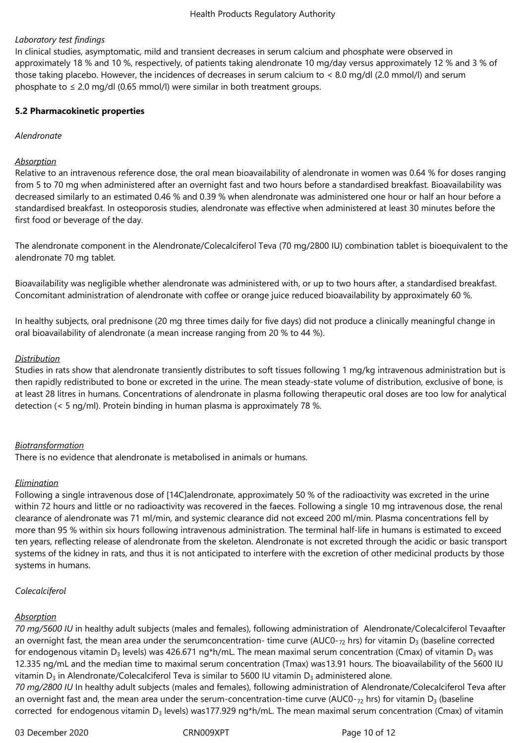## *Laboratory test findings*

In clinical studies, asymptomatic, mild and transient decreases in serum calcium and phosphate were observed in approximately 18 % and 10 %, respectively, of patients taking alendronate 10 mg/day versus approximately 12 % and 3 % of those taking placebo. However, the incidences of decreases in serum calcium to < 8.0 mg/dl (2.0 mmol/l) and serum phosphate to  $\leq 2.0$  mg/dl (0.65 mmol/l) were similar in both treatment groups.

#### **5.2 Pharmacokinetic properties**

#### *Alendronate*

#### *Absorption*

Relative to an intravenous reference dose, the oral mean bioavailability of alendronate in women was 0.64 % for doses ranging from 5 to 70 mg when administered after an overnight fast and two hours before a standardised breakfast. Bioavailability was decreased similarly to an estimated 0.46 % and 0.39 % when alendronate was administered one hour or half an hour before a standardised breakfast. In osteoporosis studies, alendronate was effective when administered at least 30 minutes before the first food or beverage of the day.

The alendronate component in the Alendronate/Colecalciferol Teva (70 mg/2800 IU) combination tablet is bioequivalent to the alendronate 70 mg tablet.

Bioavailability was negligible whether alendronate was administered with, or up to two hours after, a standardised breakfast. Concomitant administration of alendronate with coffee or orange juice reduced bioavailability by approximately 60 %.

In healthy subjects, oral prednisone (20 mg three times daily for five days) did not produce a clinically meaningful change in oral bioavailability of alendronate (a mean increase ranging from 20 % to 44 %).

#### *Distribution*

Studies in rats show that alendronate transiently distributes to soft tissues following 1 mg/kg intravenous administration but is then rapidly redistributed to bone or excreted in the urine. The mean steady-state volume of distribution, exclusive of bone, is at least 28 litres in humans. Concentrations of alendronate in plasma following therapeutic oral doses are too low for analytical detection (< 5 ng/ml). Protein binding in human plasma is approximately 78 %.

#### *Biotransformation*

There is no evidence that alendronate is metabolised in animals or humans.

#### *Elimination*

Following a single intravenous dose of [14C]alendronate, approximately 50 % of the radioactivity was excreted in the urine within 72 hours and little or no radioactivity was recovered in the faeces. Following a single 10 mg intravenous dose, the renal clearance of alendronate was 71 ml/min, and systemic clearance did not exceed 200 ml/min. Plasma concentrations fell by more than 95 % within six hours following intravenous administration. The terminal half-life in humans is estimated to exceed ten years, reflecting release of alendronate from the skeleton. Alendronate is not excreted through the acidic or basic transport systems of the kidney in rats, and thus it is not anticipated to interfere with the excretion of other medicinal products by those systems in humans.

#### *Colecalciferol*

#### *Absorption*

*70 mg/5600 IU* in healthy adult subjects (males and females), following administration of Alendronate/Colecalciferol Tevaafter an overnight fast, the mean area under the serumconcentration- time curve (AUC0- $_{72}$  hrs) for vitamin D<sub>3</sub> (baseline corrected for endogenous vitamin D<sub>3</sub> levels) was 426.671 ng\*h/mL. The mean maximal serum concentration (Cmax) of vitamin D<sub>3</sub> was 12.335 ng/mL and the median time to maximal serum concentration (Tmax) was13.91 hours. The bioavailability of the 5600 IU vitamin D<sub>3</sub> in Alendronate/Colecalciferol Teva is similar to 5600 IU vitamin D<sub>3</sub> administered alone. *70 mg/2800 IU* In healthy adult subjects (males and females), following administration of Alendronate/Colecalciferol Teva after

an overnight fast and, the mean area under the serum-concentration-time curve (AUC0- $_{72}$  hrs) for vitamin D<sub>3</sub> (baseline corrected for endogenous vitamin  $D_3$  levels) was177.929 ng\*h/mL. The mean maximal serum concentration (Cmax) of vitamin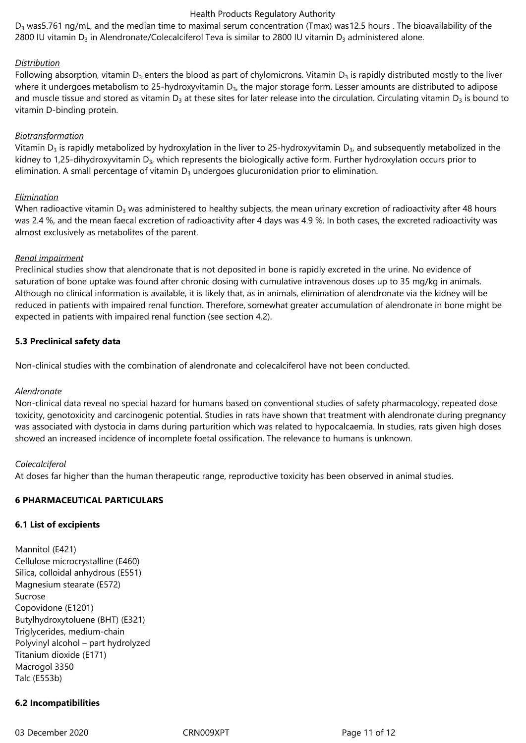$D_3$  was 5.761 ng/mL, and the median time to maximal serum concentration (Tmax) was 12.5 hours . The bioavailability of the 2800 IU vitamin D<sub>3</sub> in Alendronate/Colecalciferol Teva is similar to 2800 IU vitamin D<sub>3</sub> administered alone.

## *Distribution*

Following absorption, vitamin  $D_3$  enters the blood as part of chylomicrons. Vitamin  $D_3$  is rapidly distributed mostly to the liver where it undergoes metabolism to 25-hydroxyvitamin  $D<sub>3</sub>$ , the major storage form. Lesser amounts are distributed to adipose and muscle tissue and stored as vitamin  $D_3$  at these sites for later release into the circulation. Circulating vitamin  $D_3$  is bound to vitamin D-binding protein.

## *Biotransformation*

Vitamin  $D_3$  is rapidly metabolized by hydroxylation in the liver to 25-hydroxyvitamin  $D_3$ , and subsequently metabolized in the kidney to 1,25-dihydroxyvitamin  $D_3$ , which represents the biologically active form. Further hydroxylation occurs prior to elimination. A small percentage of vitamin  $D_3$  undergoes glucuronidation prior to elimination.

## *Elimination*

When radioactive vitamin  $D_3$  was administered to healthy subjects, the mean urinary excretion of radioactivity after 48 hours was 2.4 %, and the mean faecal excretion of radioactivity after 4 days was 4.9 %. In both cases, the excreted radioactivity was almost exclusively as metabolites of the parent.

#### *Renal impairment*

Preclinical studies show that alendronate that is not deposited in bone is rapidly excreted in the urine. No evidence of saturation of bone uptake was found after chronic dosing with cumulative intravenous doses up to 35 mg/kg in animals. Although no clinical information is available, it is likely that, as in animals, elimination of alendronate via the kidney will be reduced in patients with impaired renal function. Therefore, somewhat greater accumulation of alendronate in bone might be expected in patients with impaired renal function (see section 4.2).

## **5.3 Preclinical safety data**

Non-clinical studies with the combination of alendronate and colecalciferol have not been conducted.

#### *Alendronate*

Non-clinical data reveal no special hazard for humans based on conventional studies of safety pharmacology, repeated dose toxicity, genotoxicity and carcinogenic potential. Studies in rats have shown that treatment with alendronate during pregnancy was associated with dystocia in dams during parturition which was related to hypocalcaemia. In studies, rats given high doses showed an increased incidence of incomplete foetal ossification. The relevance to humans is unknown.

#### *Colecalciferol*

At doses far higher than the human therapeutic range, reproductive toxicity has been observed in animal studies.

## **6 PHARMACEUTICAL PARTICULARS**

#### **6.1 List of excipients**

Mannitol (E421) Cellulose microcrystalline (E460) Silica, colloidal anhydrous (E551) Magnesium stearate (E572) Sucrose Copovidone (E1201) Butylhydroxytoluene (BHT) (E321) Triglycerides, medium-chain Polyvinyl alcohol – part hydrolyzed Titanium dioxide (E171) Macrogol 3350 Talc (E553b)

## **6.2 Incompatibilities**